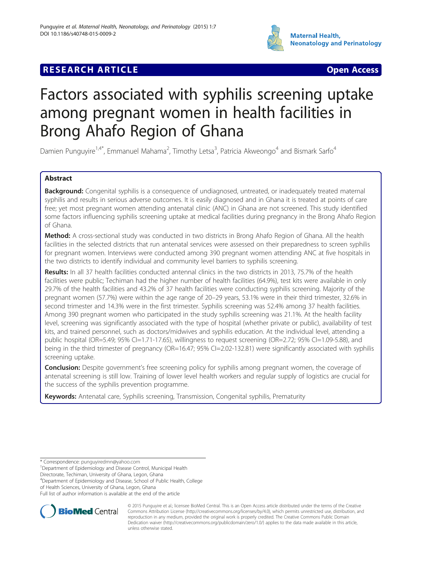

# **RESEARCH ARTICLE Example 2014 12:30 The Contract of Contract ACCESS**

# Factors associated with syphilis screening uptake among pregnant women in health facilities in Brong Ahafo Region of Ghana

Damien Punguyire<sup>1,4\*</sup>, Emmanuel Mahama<sup>2</sup>, Timothy Letsa<sup>3</sup>, Patricia Akweongo<sup>4</sup> and Bismark Sarfo<sup>4</sup>

# Abstract

Background: Congenital syphilis is a consequence of undiagnosed, untreated, or inadequately treated maternal syphilis and results in serious adverse outcomes. It is easily diagnosed and in Ghana it is treated at points of care free; yet most pregnant women attending antenatal clinic (ANC) in Ghana are not screened. This study identified some factors influencing syphilis screening uptake at medical facilities during pregnancy in the Brong Ahafo Region of Ghana.

Method: A cross-sectional study was conducted in two districts in Brong Ahafo Region of Ghana. All the health facilities in the selected districts that run antenatal services were assessed on their preparedness to screen syphilis for pregnant women. Interviews were conducted among 390 pregnant women attending ANC at five hospitals in the two districts to identify individual and community level barriers to syphilis screening.

Results: In all 37 health facilities conducted antennal clinics in the two districts in 2013, 75.7% of the health facilities were public; Techiman had the higher number of health facilities (64.9%), test kits were available in only 29.7% of the health facilities and 43.2% of 37 health facilities were conducting syphilis screening. Majority of the pregnant women (57.7%) were within the age range of 20–29 years, 53.1% were in their third trimester, 32.6% in second trimester and 14.3% were in the first trimester. Syphilis screening was 52.4% among 37 health facilities. Among 390 pregnant women who participated in the study syphilis screening was 21.1%. At the health facility level, screening was significantly associated with the type of hospital (whether private or public), availability of test kits, and trained personnel, such as doctors/midwives and syphilis education. At the individual level, attending a public hospital (OR=5.49; 95% CI=1.71-17.65), willingness to request screening (OR=2.72; 95% CI=1.09-5.88), and being in the third trimester of pregnancy (OR=16.47; 95% CI=2.02-132.81) were significantly associated with syphilis screening uptake.

**Conclusion:** Despite government's free screening policy for syphilis among pregnant women, the coverage of antenatal screening is still low. Training of lower level health workers and regular supply of logistics are crucial for the success of the syphilis prevention programme.

Keywords: Antenatal care, Syphilis screening, Transmission, Congenital syphilis, Prematurity

<sup>1</sup>Department of Epidemiology and Disease Control, Municipal Health

Directorate, Techiman, University of Ghana, Legon, Ghana

4 Department of Epidemiology and Disease, School of Public Health, College of Health Sciences, University of Ghana, Legon, Ghana

Full list of author information is available at the end of the article



© 2015 Punguyire et al.; licensee BioMed Central. This is an Open Access article distributed under the terms of the Creative Commons Attribution License [\(http://creativecommons.org/licenses/by/4.0\)](http://creativecommons.org/licenses/by/4.0), which permits unrestricted use, distribution, and reproduction in any medium, provided the original work is properly credited. The Creative Commons Public Domain Dedication waiver [\(http://creativecommons.org/publicdomain/zero/1.0/](http://creativecommons.org/publicdomain/zero/1.0/)) applies to the data made available in this article, unless otherwise stated.

<sup>\*</sup> Correspondence: [punguyiredmn@yahoo.com](mailto:punguyiredmn@yahoo.com) <sup>1</sup>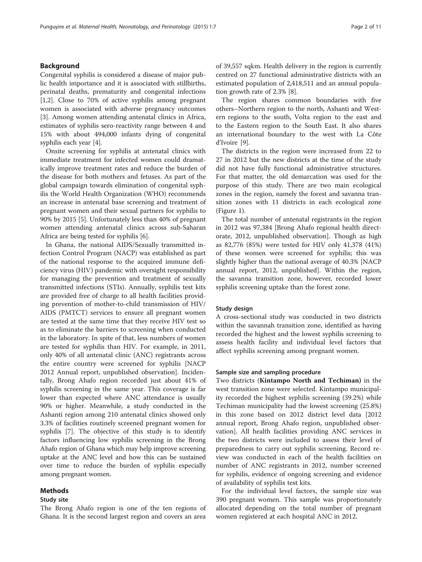# Background

Congenital syphilis is considered a disease of major public health importance and it is associated with stillbirths, perinatal deaths, prematurity and congenital infections [[1,2\]](#page-9-0). Close to 70% of active syphilis among pregnant women is associated with adverse pregnancy outcomes [[3\]](#page-9-0). Among women attending antenatal clinics in Africa, estimates of syphilis sero-reactivity range between 4 and 15% with about 494,000 infants dying of congenital syphilis each year [\[4](#page-9-0)].

Onsite screening for syphilis at antenatal clinics with immediate treatment for infected women could dramatically improve treatment rates and reduce the burden of the disease for both mothers and fetuses. As part of the global campaign towards elimination of congenital syphilis the World Health Organization (WHO) recommends an increase in antenatal base screening and treatment of pregnant women and their sexual partners for syphilis to 90% by 2015 [[5\]](#page-9-0). Unfortunately less than 40% of pregnant women attending antenatal clinics across sub-Saharan Africa are being tested for syphilis [[6\]](#page-9-0).

In Ghana, the national AIDS/Sexually transmitted infection Control Program (NACP) was established as part of the national response to the acquired immune deficiency virus (HIV) pandemic with oversight responsibility for managing the prevention and treatment of sexually transmitted infections (STIs). Annually, syphilis test kits are provided free of charge to all health facilities providing prevention of mother-to-child transmission of HIV/ AIDS (PMTCT) services to ensure all pregnant women are tested at the same time that they receive HIV test so as to eliminate the barriers to screening when conducted in the laboratory. In spite of that, less numbers of women are tested for syphilis than HIV. For example, in 2011, only 40% of all antenatal clinic (ANC) registrants across the entire country were screened for syphilis [NACP 2012 Annual report, unpublished observation]. Incidentally, Brong Ahafo region recorded just about 41% of syphilis screening in the same year. This coverage is far lower than expected where ANC attendance is usually 90% or higher. Meanwhile, a study conducted in the Ashanti region among 210 antenatal clinics showed only 3.3% of facilities routinely screened pregnant women for syphilis [\[7](#page-9-0)]. The objective of this study is to identify factors influencing low syphilis screening in the Brong Ahafo region of Ghana which may help improve screening uptake at the ANC level and how this can be sustained over time to reduce the burden of syphilis especially among pregnant women.

# Methods

# Study site

The Brong Ahafo region is one of the ten regions of Ghana. It is the second largest region and covers an area of 39,557 sqkm. Health delivery in the region is currently centred on 27 functional administrative districts with an estimated population of 2,418,511 and an annual population growth rate of 2.3% [\[8](#page-9-0)].

The region shares common boundaries with five others–Northern region to the north, Ashanti and Western regions to the south, Volta region to the east and to the Eastern region to the South East. It also shares an international boundary to the west with La Côte d'Ivoire [[9\]](#page-9-0).

The districts in the region were increased from 22 to 27 in 2012 but the new districts at the time of the study did not have fully functional administrative structures. For that matter, the old demarcation was used for the purpose of this study. There are two main ecological zones in the region, namely the forest and savanna transition zones with 11 districts in each ecological zone (Figure [1\)](#page-2-0).

The total number of antenatal registrants in the region in 2012 was 97,384 [Brong Ahafo regional health directorate, 2012, unpublished observation]. Though as high as 82,776 (85%) were tested for HIV only 41,378 (41%) of these women were screened for syphilis; this was slightly higher than the national average of 40.3% [NACP annual report, 2012, unpublished]. Within the region, the savanna transition zone, however, recorded lower syphilis screening uptake than the forest zone.

#### Study design

A cross-sectional study was conducted in two districts within the savannah transition zone, identified as having recorded the highest and the lowest syphilis screening to assess health facility and individual level factors that affect syphilis screening among pregnant women.

#### Sample size and sampling procedure

Two districts (Kintampo North and Techiman) in the west transition zone were selected. Kintampo municipality recorded the highest syphilis screening (39.2%) while Techiman municipality had the lowest screening (25.8%) in this zone based on 2012 district level data [2012 annual report, Brong Ahafo region, unpublished observation]. All health facilities providing ANC services in the two districts were included to assess their level of preparedness to carry out syphilis screening. Record review was conducted in each of the health facilities on number of ANC registrants in 2012, number screened for syphilis, evidence of ongoing screening and evidence of availability of syphilis test kits.

For the individual level factors, the sample size was 390 pregnant women. This sample was proportionately allocated depending on the total number of pregnant women registered at each hospital ANC in 2012.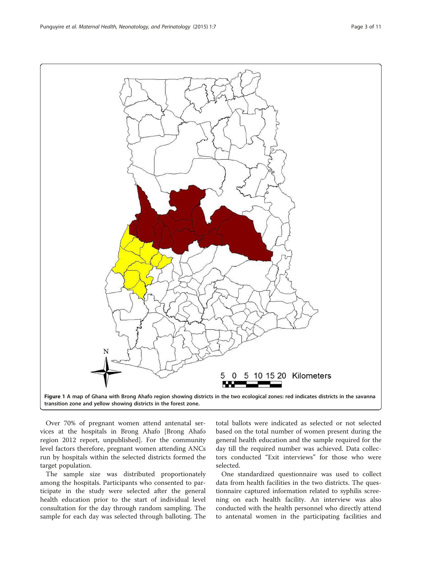<span id="page-2-0"></span>

Over 70% of pregnant women attend antenatal services at the hospitals in Brong Ahafo [Brong Ahafo region 2012 report, unpublished]. For the community level factors therefore, pregnant women attending ANCs run by hospitals within the selected districts formed the target population.

The sample size was distributed proportionately among the hospitals. Participants who consented to participate in the study were selected after the general health education prior to the start of individual level consultation for the day through random sampling. The sample for each day was selected through balloting. The

total ballots were indicated as selected or not selected based on the total number of women present during the general health education and the sample required for the day till the required number was achieved. Data collectors conducted "Exit interviews" for those who were selected.

One standardized questionnaire was used to collect data from health facilities in the two districts. The questionnaire captured information related to syphilis screening on each health facility. An interview was also conducted with the health personnel who directly attend to antenatal women in the participating facilities and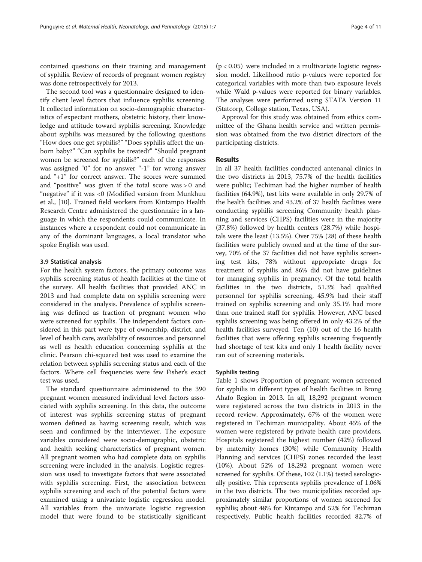contained questions on their training and management of syphilis. Review of records of pregnant women registry was done retrospectively for 2013.

The second tool was a questionnaire designed to identify client level factors that influence syphilis screening. It collected information on socio-demographic characteristics of expectant mothers, obstetric history, their knowledge and attitude toward syphilis screening. Knowledge about syphilis was measured by the following questions "How does one get syphilis?" "Does syphilis affect the unborn baby?" "Can syphilis be treated?" "Should pregnant women be screened for syphilis?" each of the responses was assigned "0" for no answer "-1" for wrong answer and "+1" for correct answer. The scores were summed and "positive" was given if the total score was > 0 and "negative" if it was <0 (Modified version from Munkhuu et al., [\[10](#page-9-0)]. Trained field workers from Kintampo Health Research Centre administered the questionnaire in a language in which the respondents could communicate. In instances where a respondent could not communicate in any of the dominant languages, a local translator who spoke English was used.

#### 3.9 Statistical analysis

For the health system factors, the primary outcome was syphilis screening status of health facilities at the time of the survey. All health facilities that provided ANC in 2013 and had complete data on syphilis screening were considered in the analysis. Prevalence of syphilis screening was defined as fraction of pregnant women who were screened for syphilis. The independent factors considered in this part were type of ownership, district, and level of health care, availability of resources and personnel as well as health education concerning syphilis at the clinic. Pearson chi-squared test was used to examine the relation between syphilis screening status and each of the factors. Where cell frequencies were few Fisher's exact test was used.

The standard questionnaire administered to the 390 pregnant women measured individual level factors associated with syphilis screening. In this data, the outcome of interest was syphilis screening status of pregnant women defined as having screening result, which was seen and confirmed by the interviewer. The exposure variables considered were socio-demographic, obstetric and health seeking characteristics of pregnant women. All pregnant women who had complete data on syphilis screening were included in the analysis. Logistic regression was used to investigate factors that were associated with syphilis screening. First, the association between syphilis screening and each of the potential factors were examined using a univariate logistic regression model. All variables from the univariate logistic regression model that were found to be statistically significant

(p < 0.05) were included in a multivariate logistic regression model. Likelihood ratio p-values were reported for categorical variables with more than two exposure levels while Wald p-values were reported for binary variables. The analyses were performed using STATA Version 11 (Statcorp, College station, Texas, USA).

Approval for this study was obtained from ethics committee of the Ghana health service and written permission was obtained from the two district directors of the participating districts.

# Results

In all 37 health facilities conducted antenanal clinics in the two districts in 2013, 75.7% of the health facilities were public; Techiman had the higher number of health facilities (64.9%), test kits were available in only 29.7% of the health facilities and 43.2% of 37 health facilities were conducting syphilis screening Community health planning and services (CHPS) facilities were in the majority (37.8%) followed by health centers (28.7%) while hospitals were the least (13.5%). Over 75% (28) of these health facilities were publicly owned and at the time of the survey, 70% of the 37 facilities did not have syphilis screening test kits, 78% without appropriate drugs for treatment of syphilis and 86% did not have guidelines for managing syphilis in pregnancy. Of the total health facilities in the two districts, 51.3% had qualified personnel for syphilis screening, 45.9% had their staff trained on syphilis screening and only 35.1% had more than one trained staff for syphilis. However, ANC based syphilis screening was being offered in only 43.2% of the health facilities surveyed. Ten (10) out of the 16 health facilities that were offering syphilis screening frequently had shortage of test kits and only 1 health facility never ran out of screening materials.

# Syphilis testing

Table [1](#page-4-0) shows Proportion of pregnant women screened for syphilis in different types of health facilities in Brong Ahafo Region in 2013. In all, 18,292 pregnant women were registered across the two districts in 2013 in the record review. Approximately, 67% of the women were registered in Techiman municipality. About 45% of the women were registered by private health care providers. Hospitals registered the highest number (42%) followed by maternity homes (30%) while Community Health Planning and services (CHPS) zones recorded the least (10%). About 52% of 18,292 pregnant women were screened for syphilis. Of these, 102 (1.1%) tested serologically positive. This represents syphilis prevalence of 1.06% in the two districts. The two municipalities recorded approximately similar proportions of women screened for syphilis; about 48% for Kintampo and 52% for Techiman respectively. Public health facilities recorded 82.7% of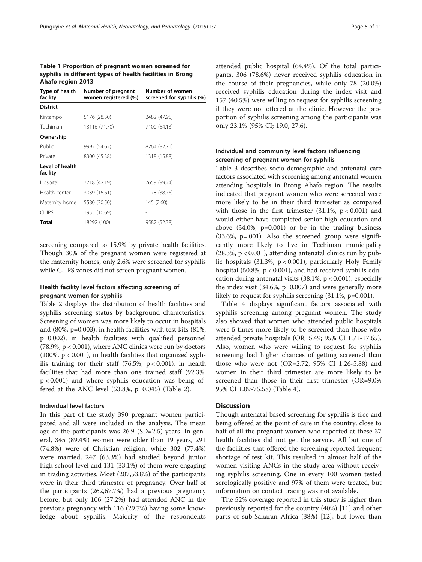<span id="page-4-0"></span>

| Table 1 Proportion of pregnant women screened for         |
|-----------------------------------------------------------|
| syphilis in different types of health facilities in Brong |
| Ahafo region 2013                                         |

| Type of health<br>facility  | Number of pregnant<br>women registered (%) | Number of women<br>screened for syphilis (%) |
|-----------------------------|--------------------------------------------|----------------------------------------------|
| <b>District</b>             |                                            |                                              |
| Kintampo                    | 5176 (28.30)                               | 2482 (47.95)                                 |
| Techiman                    | 13116 (71.70)                              | 7100 (54.13)                                 |
| Ownership                   |                                            |                                              |
| Public                      | 9992 (54.62)                               | 8264 (82.71)                                 |
| Private                     | 8300 (45.38)                               | 1318 (15.88)                                 |
| Level of health<br>facility |                                            |                                              |
| Hospital                    | 7718 (42.19)                               | 7659 (99.24)                                 |
| Health center               | 3039 (16.61)                               | 1178 (38.76)                                 |
| Maternity home              | 5580 (30.50)                               | 145 (2.60)                                   |
| <b>CHIPS</b>                | 1955 (10.69)                               |                                              |
| Total                       | 18292 (100)                                | 9582 (52.38)                                 |

screening compared to 15.9% by private health facilities. Though 30% of the pregnant women were registered at the maternity homes, only 2.6% were screened for syphilis while CHPS zones did not screen pregnant women.

# Health facility level factors affecting screening of pregnant women for syphilis

Table [2](#page-5-0) displays the distribution of health facilities and syphilis screening status by background characteristics. Screening of women was more likely to occur in hospitals and (80%, p=0.003), in health facilities with test kits (81%, p=0.002), in health facilities with qualified personnel (78.9%, p < 0.001), where ANC clinics were run by doctors (100%,  $p < 0.001$ ), in health facilities that organized syphilis training for their staff  $(76.5\% , p < 0.001)$ , in health facilities that had more than one trained staff (92.3%, p < 0.001) and where syphilis education was being offered at the ANC level  $(53.8\% , p=0.045)$  (Table [2](#page-5-0)).

# Individual level factors

In this part of the study 390 pregnant women participated and all were included in the analysis. The mean age of the participants was 26.9 (SD=2.5) years. In general, 345 (89.4%) women were older than 19 years, 291 (74.8%) were of Christian religion, while 302 (77.4%) were married, 247 (63.3%) had studied beyond junior high school level and 131 (33.1%) of them were engaging in trading activities. Most (207,53.8%) of the participants were in their third trimester of pregnancy. Over half of the participants (262,67.7%) had a previous pregnancy before, but only 106 (27.2%) had attended ANC in the previous pregnancy with 116 (29.7%) having some knowledge about syphilis. Majority of the respondents attended public hospital (64.4%). Of the total participants, 306 (78.6%) never received syphilis education in the course of their pregnancies, while only 78 (20.0%) received syphilis education during the index visit and 157 (40.5%) were willing to request for syphilis screening if they were not offered at the clinic. However the proportion of syphilis screening among the participants was only 23.1% (95% CI; 19.0, 27.6).

# Individual and community level factors influencing screening of pregnant women for syphilis

Table [3](#page-6-0) describes socio-demographic and antenatal care factors associated with screening among antenatal women attending hospitals in Brong Ahafo region. The results indicated that pregnant women who were screened were more likely to be in their third trimester as compared with those in the first trimester  $(31.1\% , p < 0.001)$  and would either have completed senior high education and above  $(34.0\% , p=0.001)$  or be in the trading business (33.6%, p=.001). Also the screened group were significantly more likely to live in Techiman municipality  $(28.3\% , p < 0.001)$ , attending antenatal clinics run by public hospitals (31.3%, p < 0.001), particularly Holy Family hospital (50.8%, p < 0.001), and had received syphilis education during antenatal visits  $(38.1\% , p < 0.001)$ , especially the index visit (34.6%, p=0.007) and were generally more likely to request for syphilis screening (31.1%, p=0.001).

Table [4](#page-7-0) displays significant factors associated with syphilis screening among pregnant women. The study also showed that women who attended public hospitals were 5 times more likely to be screened than those who attended private hospitals (OR=5.49; 95% CI 1.71-17.65). Also, women who were willing to request for syphilis screening had higher chances of getting screened than those who were not (OR=2.72; 95% CI 1.26-5.88) and women in their third trimester are more likely to be screened than those in their first trimester (OR=9.09; 95% CI 1.09-75.58) (Table [4\)](#page-7-0).

# **Discussion**

Though antenatal based screening for syphilis is free and being offered at the point of care in the country, close to half of all the pregnant women who reported at these 37 health facilities did not get the service. All but one of the facilities that offered the screening reported frequent shortage of test kit. This resulted in almost half of the women visiting ANCs in the study area without receiving syphilis screening. One in every 100 women tested serologically positive and 97% of them were treated, but information on contact tracing was not available.

The 52% coverage reported in this study is higher than previously reported for the country (40%) [[11](#page-9-0)] and other parts of sub-Saharan Africa (38%) [[12\]](#page-9-0), but lower than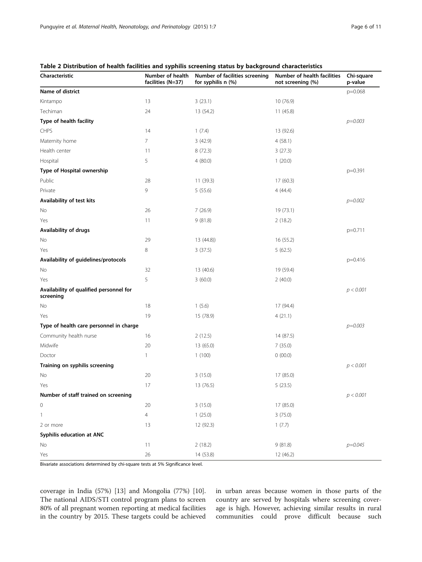# Characteristic **Number of health** facilities (N=37) Number of facilities screening for syphilis n (%) Number of health facilities not screening (%) Chi-square p-value Name of district  $p=0.068$ Kintampo 13 3 (23.1) 13 3 (23.1) 10 (76.9) Techiman 24 13 (54.2) 11 (45.8) **Type of health facility**  $p=0.003$ CHPS 13 (92.6) Maternity home 2 3 (42.9) 3 (42.9) 4 (58.1) Health center 11 8 (72.3) 3 (27.3) Hospital 5 4 (80.0) 1 (20.0) **Type of Hospital ownership** p=0.391 Public 28 28 11 (39.3) 17 (60.3) Private 4 (44.4) 4 (44.4) 9 5 (55.6) 4 (44.4) Availability of test kits  $p=0.002$ No 26 7 (26.9) 19 (73.1) Yes 2 (18.2) 2 (18.2) Availability of drugs  $p=0.711$ No 29 13 (44.8) 16 (55.2)  $Y$ es 3 (37.5) 5 (62.5) Availability of guidelines/protocols and the set of the set of the set of the set of the set of the set of the set of the set of the set of the set of the set of the set of the set of the set of the set of the set of the s No 19 (59.4) Yes 2(40.0) 7 2(40.0) 7 3 (60.0) 7 2(40.0) Availability of qualified personnel for screening  $p < 0.001$ No 17 (94.4) Yes 19 15 (78.9) 4 (21.1) Type of health care personnel in charge personnel in charge p=0.003 Community health nurse 16 16 16 2 (12.5) 14 (87.5) Midwife 20 20 13 (65.0) 7 (35.0) Doctor 0 (00.0) 1 1 1 1 1 1 1 1 1 1 1 1 1 0 1 0 (00.0) **Training on syphilis screening**  $p < 0.001$ No 20 3 (15.0) 17 (85.0) Yes 17 13 (76.5) 5 (23.5) **Number of staff trained on screening**  $p < 0.001$ 0 20 3 (15.0) 17 (85.0) 1  $1 \t3 \t(75.0)$ 2 or more 13 13 12 (92.3) 1 (7.7) Syphilis education at ANC No 11 2 (18.2) 9 (81.8) p=0.045 Yes 26 26 14 (53.8) 12 (46.2)

# <span id="page-5-0"></span>Table 2 Distribution of health facilities and syphilis screening status by background characteristics

Bivariate associations determined by chi-square tests at 5% Significance level.

coverage in India (57%) [[13\]](#page-10-0) and Mongolia (77%) [\[10](#page-9-0)]. The national AIDS/STI control program plans to screen 80% of all pregnant women reporting at medical facilities in the country by 2015. These targets could be achieved in urban areas because women in those parts of the country are served by hospitals where screening coverage is high. However, achieving similar results in rural communities could prove difficult because such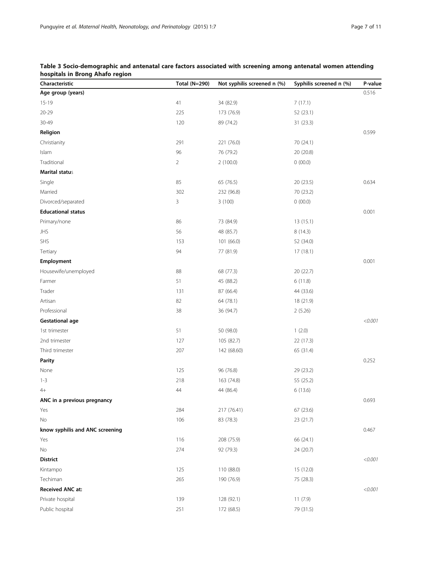| Characteristic                  | <b>Total (N=290)</b> | Not syphilis screened n (%) | Syphilis screened n (%) | P-value |
|---------------------------------|----------------------|-----------------------------|-------------------------|---------|
| Age group (years)               |                      |                             |                         | 0.516   |
| $15-19$                         | 41                   | 34 (82.9)                   | 7(17.1)                 |         |
| 20-29                           | 225                  | 173 (76.9)                  | 52 (23.1)               |         |
| 30-49                           | 120                  | 89 (74.2)                   | 31(23.3)                |         |
| Religion                        |                      |                             |                         | 0.599   |
| Christianity                    | 291                  | 221 (76.0)                  | 70 (24.1)               |         |
| Islam                           | 96                   | 76 (79.2)                   | 20 (20.8)               |         |
| Traditional                     | $\overline{2}$       | 2(100.0)                    | 0(00.0)                 |         |
| <b>Marital status</b>           |                      |                             |                         |         |
| Single                          | 85                   | 65 (76.5)                   | 20(23.5)                | 0.634   |
| Married                         | 302                  | 232 (96.8)                  | 70 (23.2)               |         |
| Divorced/separated              | 3                    | 3 (100)                     | 0(00.0)                 |         |
| <b>Educational status</b>       |                      |                             |                         | 0.001   |
| Primary/none                    | 86                   | 73 (84.9)                   | 13(15.1)                |         |
| JHS                             | 56                   | 48 (85.7)                   | 8(14.3)                 |         |
| SHS                             | 153                  | 101 (66.0)                  | 52 (34.0)               |         |
| Tertiary                        | 94                   | 77 (81.9)                   | 17(18.1)                |         |
| Employment                      |                      |                             |                         | 0.001   |
| Housewife/unemployed            | 88                   | 68 (77.3)                   | 20 (22.7)               |         |
| Farmer                          | 51                   | 45 (88.2)                   | 6(11.8)                 |         |
| Trader                          | 131                  | 87 (66.4)                   | 44 (33.6)               |         |
| Artisan                         | 82                   | 64 (78.1)                   | 18 (21.9)               |         |
| Professional                    | 38                   | 36 (94.7)                   | 2(5.26)                 |         |
| <b>Gestational age</b>          |                      |                             |                         | < 0.001 |
| 1st trimester                   | 51                   | 50 (98.0)                   | 1(2.0)                  |         |
| 2nd trimester                   | 127                  | 105 (82.7)                  | 22 (17.3)               |         |
| Third trimester                 | 207                  | 142 (68.60)                 | 65 (31.4)               |         |
| Parity                          |                      |                             |                         | 0.252   |
| None                            | 125                  | 96 (76.8)                   | 29 (23.2)               |         |
| $1 - 3$                         | 218                  | 163 (74.8)                  | 55 (25.2)               |         |
| 4+                              | 44                   | 44 (86.4)                   | 6(13.6)                 |         |
| ANC in a previous pregnancy     |                      |                             |                         | 0.693   |
| Yes                             | 284                  | 217 (76.41)                 | 67 (23.6)               |         |
| No                              | 106                  | 83 (78.3)                   | 23 (21.7)               |         |
| know syphilis and ANC screening |                      |                             |                         | 0.467   |
| Yes                             | 116                  | 208 (75.9)                  | 66 (24.1)               |         |
| No                              | 274                  | 92 (79.3)                   | 24 (20.7)               |         |
| <b>District</b>                 |                      |                             |                         | < 0.001 |
| Kintampo                        | 125                  | 110 (88.0)                  | 15 (12.0)               |         |
| Techiman                        | 265                  | 190 (76.9)                  | 75 (28.3)               |         |
| <b>Received ANC at:</b>         |                      |                             |                         | < 0.001 |
| Private hospital                | 139                  | 128 (92.1)                  | 11(7.9)                 |         |
| Public hospital                 | 251                  | 172 (68.5)                  | 79 (31.5)               |         |

# <span id="page-6-0"></span>Table 3 Socio-demographic and antenatal care factors associated with screening among antenatal women attending hospitals in Brong Ahafo region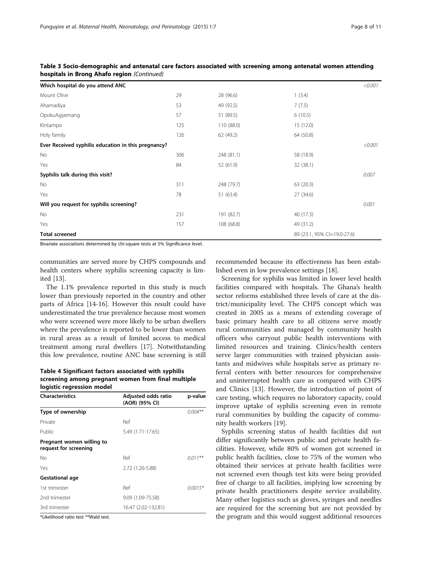| Which hospital do you attend ANC                    |     |                             |           | < 0.001 |
|-----------------------------------------------------|-----|-----------------------------|-----------|---------|
| Mount Olive                                         | 29  | 28 (96.6)                   | 1(3.4)    |         |
| Ahamadiya                                           | 53  | 49 (92.5)                   | 7(7.5)    |         |
| OpokuAgyemang                                       | 57  | 51 (89.5)                   | 6(10.5)   |         |
| Kintampo                                            | 125 | 110 (88.0)                  | 15(12.0)  |         |
| Holy family                                         | 126 | 62 (49.2)                   | 64 (50.8) |         |
| Ever Received syphilis education in this pregnancy? |     |                             |           | < 0.001 |
| No                                                  | 306 | 248 (81.1)                  | 58 (18.9) |         |
| Yes                                                 | 84  | 52 (61.9)                   | 32 (38.1) |         |
| Syphilis talk during this visit?                    |     |                             |           | 0.007   |
| No                                                  | 311 | 248 (79.7)                  | 63 (20.3) |         |
| Yes                                                 | 78  | 51 (63.4)                   | 27 (34.6) |         |
| Will you request for syphilis screening?            |     |                             |           | 0.001   |
| No                                                  | 231 | 191 (82.7)                  | 40 (17.3) |         |
| Yes                                                 | 157 | 108 (68.8)                  | 49 (31.2) |         |
| <b>Total screened</b>                               |     | 89 (23.1, 95% CI=19.0-27.6) |           |         |

<span id="page-7-0"></span>Table 3 Socio-demographic and antenatal care factors associated with screening among antenatal women attending hospitals in Brong Ahafo region (Continued)

Bivariate associations determined by chi-square tests at 5% Significance level.

communities are served more by CHPS compounds and health centers where syphilis screening capacity is limited [\[13\]](#page-10-0).

The 1.1% prevalence reported in this study is much lower than previously reported in the country and other parts of Africa [[14](#page-10-0)-[16\]](#page-10-0). However this result could have underestimated the true prevalence because most women who were screened were more likely to be urban dwellers where the prevalence is reported to be lower than women in rural areas as a result of limited access to medical treatment among rural dwellers [[17\]](#page-10-0). Notwithstanding this low prevalence, routine ANC base screening is still

Table 4 Significant factors associated with syphilis screening among pregnant women from final multiple logistic regression model

| <b>Characteristics</b>                             | Adjusted odds ratio<br>(AOR) (95% CI) | p-value   |
|----------------------------------------------------|---------------------------------------|-----------|
| Type of ownership                                  |                                       | $0.004**$ |
| Private                                            | Ref                                   |           |
| Public                                             | 5.49 (1.71-17.65)                     |           |
| Pregnant women willing to<br>request for screening |                                       |           |
| No                                                 | Ref                                   | $0.011**$ |
| Yes                                                | 2.72 (1.26-5.88)                      |           |
| <b>Gestational age</b>                             |                                       |           |
| 1st trimester                                      | Ref                                   | $0.0015*$ |
| 2nd trimester                                      | 9.09 (1.09-75.58)                     |           |
| 3rd trimester                                      | 16.47 (2.02-132.81)                   |           |

\*Likelihood ratio test \*\*Wald test.

recommended because its effectiveness has been established even in low prevalence settings [\[18\]](#page-10-0).

Screening for syphilis was limited in lower level health facilities compared with hospitals. The Ghana's health sector reforms established three levels of care at the district/municipality level. The CHPS concept which was created in 2005 as a means of extending coverage of basic primary health care to all citizens serve mostly rural communities and managed by community health officers who carryout public health interventions with limited resources and training. Clinics/health centers serve larger communities with trained physician assistants and midwives while hospitals serve as primary referral centers with better resources for comprehensive and uninterrupted health care as compared with CHPS and Clinics [\[13\]](#page-10-0). However, the introduction of point of care testing, which requires no laboratory capacity, could improve uptake of syphilis screening even in remote rural communities by building the capacity of community health workers [[19\]](#page-10-0).

Syphilis screening status of health facilities did not differ significantly between public and private health facilities. However, while 80% of women got screened in public health facilities, close to 75% of the women who obtained their services at private health facilities were not screened even though test kits were being provided free of charge to all facilities, implying low screening by private health practitioners despite service availability. Many other logistics such as gloves, syringes and needles are required for the screening but are not provided by the program and this would suggest additional resources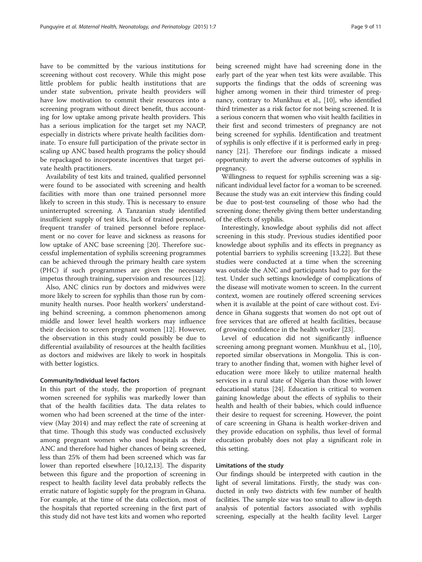have to be committed by the various institutions for screening without cost recovery. While this might pose little problem for public health institutions that are under state subvention, private health providers will have low motivation to commit their resources into a screening program without direct benefit, thus accounting for low uptake among private health providers. This has a serious implication for the target set my NACP, especially in districts where private health facilities dominate. To ensure full participation of the private sector in scaling up ANC based health programs the policy should be repackaged to incorporate incentives that target private health practitioners.

Availability of test kits and trained, qualified personnel were found to be associated with screening and health facilities with more than one trained personnel more likely to screen in this study. This is necessary to ensure uninterrupted screening. A Tanzanian study identified insufficient supply of test kits, lack of trained personnel, frequent transfer of trained personnel before replacement or no cover for leave and sickness as reasons for low uptake of ANC base screening [[20](#page-10-0)]. Therefore successful implementation of syphilis screening programmes can be achieved through the primary health care system (PHC) if such programmes are given the necessary impetus through training, supervision and resources [[12\]](#page-9-0).

Also, ANC clinics run by doctors and midwives were more likely to screen for syphilis than those run by community health nurses. Poor health workers' understanding behind screening, a common phenomenon among middle and lower level health workers may influence their decision to screen pregnant women [[12\]](#page-9-0). However, the observation in this study could possibly be due to differential availability of resources at the health facilities as doctors and midwives are likely to work in hospitals with better logistics.

#### Community/Individual level factors

In this part of the study, the proportion of pregnant women screened for syphilis was markedly lower than that of the health facilities data. The data relates to women who had been screened at the time of the interview (May 2014) and may reflect the rate of screening at that time. Though this study was conducted exclusively among pregnant women who used hospitals as their ANC and therefore had higher chances of being screened, less than 25% of them had been screened which was far lower than reported elsewhere [\[10,12,](#page-9-0)[13\]](#page-10-0). The disparity between this figure and the proportion of screening in respect to health facility level data probably reflects the erratic nature of logistic supply for the program in Ghana. For example, at the time of the data collection, most of the hospitals that reported screening in the first part of this study did not have test kits and women who reported being screened might have had screening done in the early part of the year when test kits were available. This supports the findings that the odds of screening was higher among women in their third trimester of pregnancy, contrary to Munkhuu et al., [\[10\]](#page-9-0), who identified third trimester as a risk factor for not being screened. It is a serious concern that women who visit health facilities in their first and second trimesters of pregnancy are not being screened for syphilis. Identification and treatment of syphilis is only effective if it is performed early in pregnancy [[21](#page-10-0)]. Therefore our findings indicate a missed opportunity to avert the adverse outcomes of syphilis in pregnancy.

Willingness to request for syphilis screening was a significant individual level factor for a woman to be screened. Because the study was an exit interview this finding could be due to post-test counseling of those who had the screening done; thereby giving them better understanding of the effects of syphilis.

Interestingly, knowledge about syphilis did not affect screening in this study. Previous studies identified poor knowledge about syphilis and its effects in pregnancy as potential barriers to syphilis screening [\[13,22](#page-10-0)]. But these studies were conducted at a time when the screening was outside the ANC and participants had to pay for the test. Under such settings knowledge of complications of the disease will motivate women to screen. In the current context, women are routinely offered screening services when it is available at the point of care without cost. Evidence in Ghana suggests that women do not opt out of free services that are offered at health facilities, because of growing confidence in the health worker [[23\]](#page-10-0).

Level of education did not significantly influence screening among pregnant women. Munkhuu et al., [\[10](#page-9-0)], reported similar observations in Mongolia. This is contrary to another finding that, women with higher level of education were more likely to utilize maternal health services in a rural state of Nigeria than those with lower educational status [\[24](#page-10-0)]. Education is critical to women gaining knowledge about the effects of syphilis to their health and health of their babies, which could influence their desire to request for screening. However, the point of care screening in Ghana is health worker-driven and they provide education on syphilis, thus level of formal education probably does not play a significant role in this setting.

#### Limitations of the study

Our findings should be interpreted with caution in the light of several limitations. Firstly, the study was conducted in only two districts with few number of health facilities. The sample size was too small to allow in-depth analysis of potential factors associated with syphilis screening, especially at the health facility level. Larger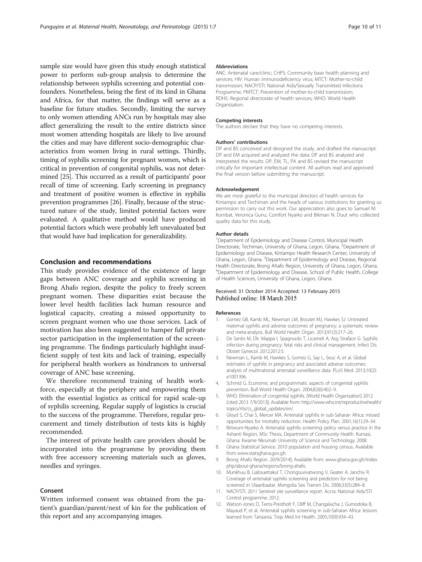<span id="page-9-0"></span>sample size would have given this study enough statistical power to perform sub-group analysis to determine the relationship between syphilis screening and potential confounders. Nonetheless, being the first of its kind in Ghana and Africa, for that matter, the findings will serve as a baseline for future studies. Secondly, limiting the survey to only women attending ANCs run by hospitals may also affect generalizing the result to the entire districts since most women attending hospitals are likely to live around the cities and may have different socio-demographic characteristics from women living in rural settings. Thirdly, timing of syphilis screening for pregnant women, which is critical in prevention of congenital syphilis, was not determined [\[25\]](#page-10-0). This occurred as a result of participants' poor recall of time of screening. Early screening in pregnancy and treatment of positive women is effective in syphilis prevention programmes [[26](#page-10-0)]. Finally, because of the structured nature of the study, limited potential factors were evaluated. A qualitative method would have produced potential factors which were probably left unevaluated but that would have had implication for generalizability.

# Conclusion and recommendations

This study provides evidence of the existence of large gaps between ANC coverage and syphilis screening in Brong Ahafo region, despite the policy to freely screen pregnant women. These disparities exist because the lower level health facilities lack human resource and logistical capacity, creating a missed opportunity to screen pregnant women who use those services. Lack of motivation has also been suggested to hamper full private sector participation in the implementation of the screening programme. The findings particularly highlight insufficient supply of test kits and lack of training, especially for peripheral health workers as hindrances to universal coverage of ANC base screening.

We therefore recommend training of health workforce, especially at the periphery and empowering them with the essential logistics as critical for rapid scale-up of syphilis screening. Regular supply of logistics is crucial to the success of the programme. Therefore, regular procurement and timely distribution of tests kits is highly recommended.

The interest of private health care providers should be incorporated into the programme by providing them with free accessory screening materials such as gloves, needles and syringes.

## Consent

Written informed consent was obtained from the patient's guardian/parent/next of kin for the publication of this report and any accompanying images.

#### **Abbreviations**

ANC: Antenatal care/clinic; CHPS: Community base health planning and services; HIV: Human immunodeficiency virus; MTCT: Mother-to-child transmission; NACP/STI: National Aids/Sexually Transmitted Infections Programme; PMTCT: Prevention of mother-to-child transmission; RDHS: Regional directorate of health services; WHO: World Health Organization.

#### Competing interests

The authors declare that they have no competing interests.

#### Authors' contributions

DP and BS conceived and designed the study, and drafted the manuscript: DP and EM acquired and analyzed the data: DP and BS analyzed and interpreted the results: DP, EM, TL, PA and BS revised the manuscript critically for important intellectual content. All authors read and approved the final version before submitting the manuscript.

#### Acknowledgement

We are most grateful to the municipal directors of health services for Kintampo and Techiman and the heads of various institutions for granting us permission to carry out this work. Our appreciation also goes to Samuel M. Kombat, Veronica Gunu, Comfort Nyarko and Bikman N. Duut who collected quality data for this study.

#### Author details

<sup>1</sup>Department of Epidemiology and Disease Control, Municipal Health Directorate, Techiman, University of Ghana, Legon, Ghana. <sup>2</sup>Department of Epidemiology and Disease, Kintampo Health Research Center, University of Ghana, Legon, Ghana. <sup>3</sup>Department of Epidemiology and Disease, Regional Health Directorate, Brong Ahafo Region, University of Ghana, Legon, Ghana. 4 Department of Epidemiology and Disease, School of Public Health, College of Health Sciences, University of Ghana, Legon, Ghana.

#### Received: 31 October 2014 Accepted: 13 February 2015 Published online: 18 March 2015

#### References

- 1. Gomez GB, Kamb ML, Newman LM, Broutet MJ, Hawkes SJ. Untreated maternal syphilis and adverse outcomes of pregnancy: a systematic review and meta-analysis. Bull World Health Organ. 2013;91(3):217–26.
- 2. De Santis M, Dlc Mappa I, Spagnuolo T, Licameli A, Asg Straface G. Syphilis infection during pregnancy: fetal risks and clinical management. Infect Dis Obstet Gynecol. 2012;2012:5.
- 3. Newman L, Kamb M, Hawkes S, Gomez G, Say L, Seuc A, et al. Global estimates of syphilis in pregnancy and associated adverse outcomes: analysis of multinational antenatal surveillance data. PLoS Med. 2013;10(2): e1001396.
- 4. Schmid G. Economic and programmatic aspects of congenital syphilis prevention. Bull World Health Organ. 2004;82(6):402–9.
- 5. WHO. Elimination of congenital syphilis. [World Health Organization] 2012 [cited 2013 7/9/2013]; Available from: [http://www.who.int/reproductivehealth/](http://www.who.int/reproductivehealth/topics/rtis/cs_global_updates/en/) [topics/rtis/cs\\_global\\_updates/en/.](http://www.who.int/reproductivehealth/topics/rtis/cs_global_updates/en/)
- 6. Gloyd S, Chai S, Mercer MA. Antenatal syphilis in sub-Saharan Africa: missed opportunities for mortality reduction. Health Policy Plan. 2001;16(1):29–34.
- 7. Britwum-Nyarko A. Antenatal syphilis screening: policy versus practice in the Ashanti Region, MSc Thesis, Department of Community Health. Kumasi, Ghana: Kwame Nkrumah University of Science and Technology; 2008.
- 8. Ghana Statistical Service. 2010 population and housing census. Available from [www.statsghana.gov.gh](http://www.statsghana.gov.gh).
- 9. Brong Ahafo Region. 20/9/2014]; Available from: [www.ghana.gov.gh/index.](http://www.ghana.gov.gh/index.php/about-ghana/regions/brong-ahafo) [php/about-ghana/regions/brong-ahafo](http://www.ghana.gov.gh/index.php/about-ghana/regions/brong-ahafo).
- 10. Munkhuu B, Liabsuetrakul T, Chongsuvivatwong V, Geater A, Janchiv R. Coverage of antenatal syphilis screening and predictors for not being screened in Ulaanbaatar. Mongolia Sex Transm Dis. 2006;33(5):284–8.
- 11. NACP/STI. 2011 Sentinel site surveillance report. Accra: National Aids/STI Control programme; 2012.
- 12. Watson-Jones D, Terris-Prestholt F, Oliff M, Changalucha J, Gumodoka B, Mayaud P, et al. Antenatal syphilis screening in sub-Saharan Africa: lessons learned from Tanzania. Trop Med Int Health. 2005;10(9):934–43.